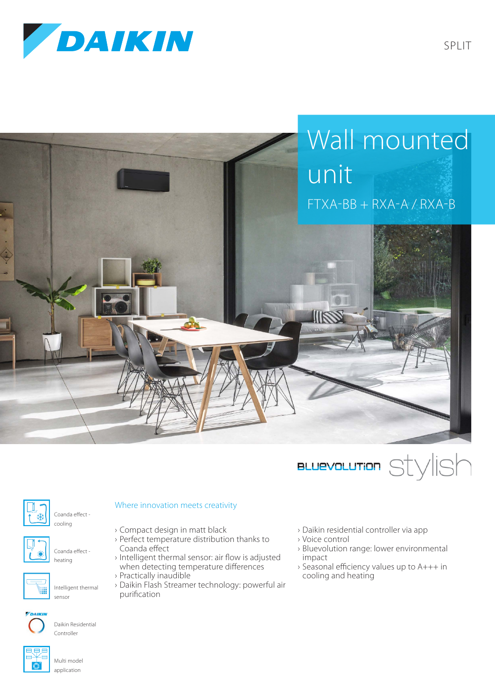







Coanda effect -



Coanda effect heating

cooling



Daikin Residential Controller

## Where innovation meets creativity

- › Compact design in matt black
- › Perfect temperature distribution thanks to Coanda effect
- › Intelligent thermal sensor: air flow is adjusted when detecting temperature differences
- › Practically inaudible
- › Daikin Flash Streamer technology: powerful air purification
- › Daikin residential controller via app
- › Voice control
- › Bluevolution range: lower environmental impact
- › Seasonal efficiency values up to A+++ in cooling and heating



Multi model application